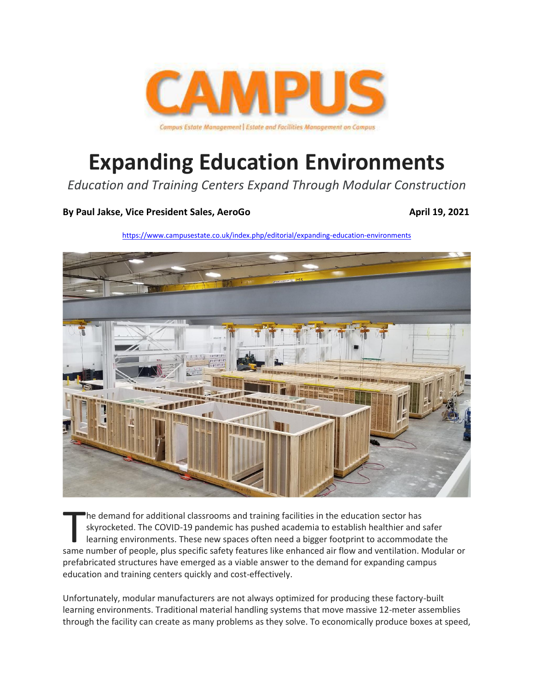

# **Expanding Education Environments**

*Education and Training Centers Expand Through Modular Construction*

#### **By [Paul](https://www.pharmacytimes.com/authors/tanapong-pantasri-pharmd-rph-bcmtms) Jakse, Vice President Sales, AeroGo April 19, 2021**

<https://www.campusestate.co.uk/index.php/editorial/expanding-education-environments>



he demand for additional classrooms and training facilities in the education sector has skyrocketed. The COVID-19 pandemic has pushed academia to establish healthier and safer learning environments. These new spaces often need a bigger footprint to accommodate the In the demand for additional classrooms and training facilities in the education sector has<br>skyrocketed. The COVID-19 pandemic has pushed academia to establish healthier and safer<br>learning environments. These new spaces of prefabricated structures have emerged as a viable answer to the demand for expanding campus education and training centers quickly and cost-effectively.

Unfortunately, modular manufacturers are not always optimized for producing these factory-built learning environments. Traditional material handling systems that move massive 12-meter assemblies through the facility can create as many problems as they solve. To economically produce boxes at speed,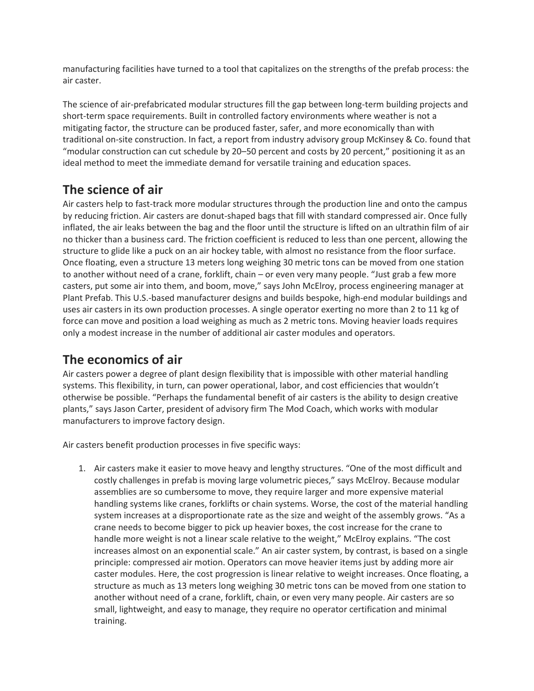manufacturing facilities have turned to a tool that capitalizes on the strengths of the prefab process: the air caster.

The science of air-prefabricated modular structures fill the gap between long-term building projects and short-term space requirements. Built in controlled factory environments where weather is not a mitigating factor, the structure can be produced faster, safer, and more economically than with traditional on-site construction. In fact, a report from industry advisory group McKinsey & Co. found that "modular construction can cut schedule by 20–50 percent and costs by 20 percent," positioning it as an ideal method to meet the immediate demand for versatile training and education spaces.

## **The science of air**

Air casters help to fast-track more modular structures through the production line and onto the campus by reducing friction. Air casters are donut-shaped bags that fill with standard compressed air. Once fully inflated, the air leaks between the bag and the floor until the structure is lifted on an ultrathin film of air no thicker than a business card. The friction coefficient is reduced to less than one percent, allowing the structure to glide like a puck on an air hockey table, with almost no resistance from the floor surface. Once floating, even a structure 13 meters long weighing 30 metric tons can be moved from one station to another without need of a crane, forklift, chain – or even very many people. "Just grab a few more casters, put some air into them, and boom, move," says John McElroy, process engineering manager at Plant Prefab. This U.S.-based manufacturer designs and builds bespoke, high-end modular buildings and uses air casters in its own production processes. A single operator exerting no more than 2 to 11 kg of force can move and position a load weighing as much as 2 metric tons. Moving heavier loads requires only a modest increase in the number of additional air caster modules and operators.

## **The economics of air**

Air casters power a degree of plant design flexibility that is impossible with other material handling systems. This flexibility, in turn, can power operational, labor, and cost efficiencies that wouldn't otherwise be possible. "Perhaps the fundamental benefit of air casters is the ability to design creative plants," says Jason Carter, president of advisory firm The Mod Coach, which works with modular manufacturers to improve factory design.

Air casters benefit production processes in five specific ways:

1. Air casters make it easier to move heavy and lengthy structures. "One of the most difficult and costly challenges in prefab is moving large volumetric pieces," says McElroy. Because modular assemblies are so cumbersome to move, they require larger and more expensive material handling systems like cranes, forklifts or chain systems. Worse, the cost of the material handling system increases at a disproportionate rate as the size and weight of the assembly grows. "As a crane needs to become bigger to pick up heavier boxes, the cost increase for the crane to handle more weight is not a linear scale relative to the weight," McElroy explains. "The cost increases almost on an exponential scale." An air caster system, by contrast, is based on a single principle: compressed air motion. Operators can move heavier items just by adding more air caster modules. Here, the cost progression is linear relative to weight increases. Once floating, a structure as much as 13 meters long weighing 30 metric tons can be moved from one station to another without need of a crane, forklift, chain, or even very many people. Air casters are so small, lightweight, and easy to manage, they require no operator certification and minimal training.